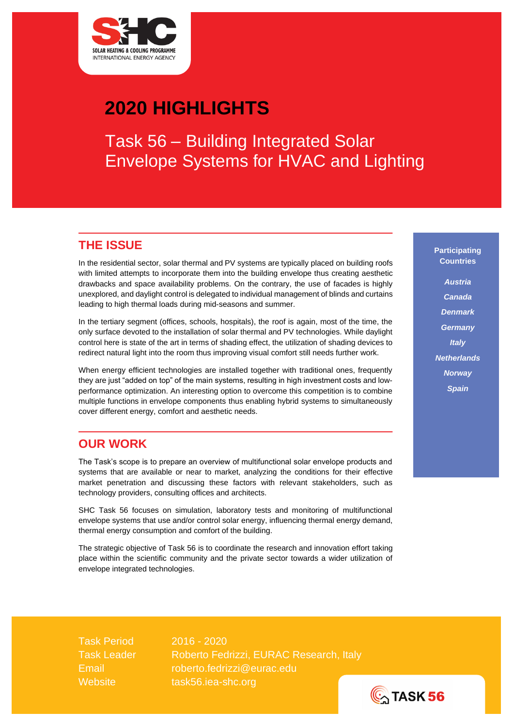

# **2020 HIGHLIGHTS**

Task 56 – Building Integrated Solar Envelope Systems for HVAC and Lighting

## **THE ISSUE**

In the residential sector, solar thermal and PV systems are typically placed on building roofs with limited attempts to incorporate them into the building envelope thus creating aesthetic drawbacks and space availability problems. On the contrary, the use of facades is highly unexplored, and daylight control is delegated to individual management of blinds and curtains leading to high thermal loads during mid-seasons and summer.

In the tertiary segment (offices, schools, hospitals), the roof is again, most of the time, the only surface devoted to the installation of solar thermal and PV technologies. While daylight control here is state of the art in terms of shading effect, the utilization of shading devices to redirect natural light into the room thus improving visual comfort still needs further work.

When energy efficient technologies are installed together with traditional ones, frequently they are just "added on top" of the main systems, resulting in high investment costs and lowperformance optimization. An interesting option to overcome this competition is to combine multiple functions in envelope components thus enabling hybrid systems to simultaneously cover different energy, comfort and aesthetic needs.

## **OUR WORK**

The Task's scope is to prepare an overview of multifunctional solar envelope products and systems that are available or near to market, analyzing the conditions for their effective market penetration and discussing these factors with relevant stakeholders, such as technology providers, consulting offices and architects.

SHC Task 56 focuses on simulation, laboratory tests and monitoring of multifunctional envelope systems that use and/or control solar energy, influencing thermal energy demand, thermal energy consumption and comfort of the building.

The strategic objective of Task 56 is to coordinate the research and innovation effort taking place within the scientific community and the private sector towards a wider utilization of envelope integrated technologies.

**Participating Countries**

*Austria Canada Denmark Germany Italy Netherlands Norway Spain*

Task Period 2016 - 2020 Task Leader Roberto Fedrizzi, EURAC Research, Italy Email [roberto.fedrizzi@eurac.edu](mailto:roberto.fedrizzi@eurac.edu) Website [task56.iea-shc.org](http://task56.iea-shc.org/)